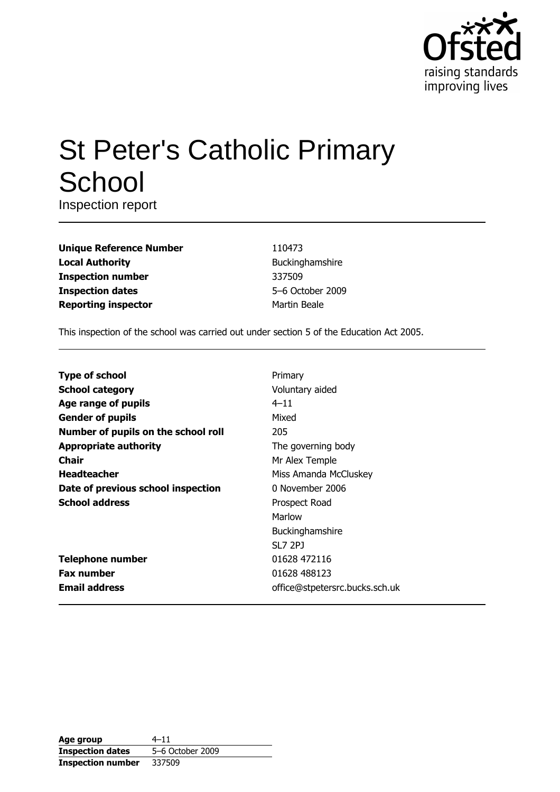

# **St Peter's Catholic Primary** School

Inspection report

| <b>Unique Reference Number</b> |
|--------------------------------|
| <b>Local Authority</b>         |
| <b>Inspection number</b>       |
| <b>Inspection dates</b>        |
| <b>Reporting inspector</b>     |

110473 Buckinghamshire 337509 5-6 October 2009 Martin Beale

This inspection of the school was carried out under section 5 of the Education Act 2005.

| <b>Type of school</b>               | Primary                        |
|-------------------------------------|--------------------------------|
| <b>School category</b>              | Voluntary aided                |
| Age range of pupils                 | $4 - 11$                       |
| <b>Gender of pupils</b>             | Mixed                          |
| Number of pupils on the school roll | 205                            |
| <b>Appropriate authority</b>        | The governing body             |
| Chair                               | Mr Alex Temple                 |
| <b>Headteacher</b>                  | Miss Amanda McCluskey          |
| Date of previous school inspection  | 0 November 2006                |
| <b>School address</b>               | Prospect Road                  |
|                                     | Marlow                         |
|                                     | Buckinghamshire                |
|                                     | <b>SL7 2PJ</b>                 |
| <b>Telephone number</b>             | 01628 472116                   |
| <b>Fax number</b>                   | 01628 488123                   |
| <b>Email address</b>                | office@stpetersrc.bucks.sch.uk |

| Age group                | $4 - 11$         |
|--------------------------|------------------|
| <b>Inspection dates</b>  | 5-6 October 2009 |
| <b>Inspection number</b> | 337509           |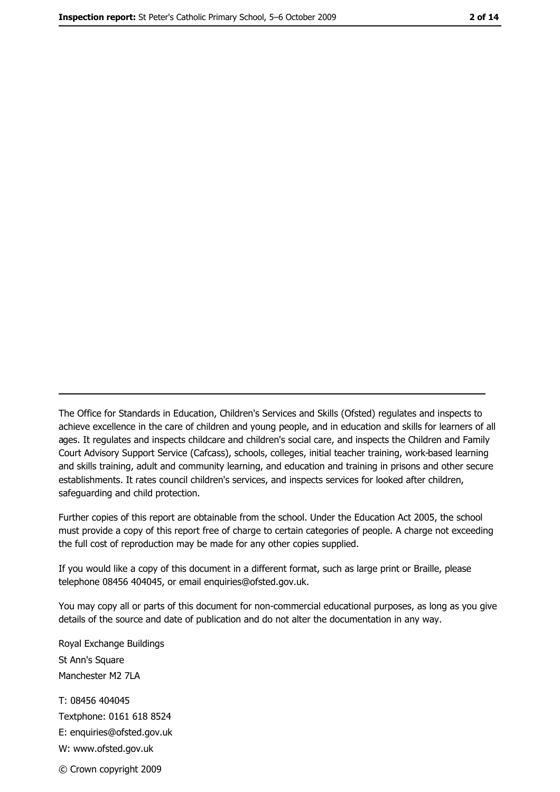The Office for Standards in Education, Children's Services and Skills (Ofsted) regulates and inspects to achieve excellence in the care of children and young people, and in education and skills for learners of all ages. It regulates and inspects childcare and children's social care, and inspects the Children and Family Court Advisory Support Service (Cafcass), schools, colleges, initial teacher training, work-based learning and skills training, adult and community learning, and education and training in prisons and other secure establishments. It rates council children's services, and inspects services for looked after children, safequarding and child protection.

Further copies of this report are obtainable from the school. Under the Education Act 2005, the school must provide a copy of this report free of charge to certain categories of people. A charge not exceeding the full cost of reproduction may be made for any other copies supplied.

If you would like a copy of this document in a different format, such as large print or Braille, please telephone 08456 404045, or email enquiries@ofsted.gov.uk.

You may copy all or parts of this document for non-commercial educational purposes, as long as you give details of the source and date of publication and do not alter the documentation in any way.

Royal Exchange Buildings St Ann's Square Manchester M2 7LA T: 08456 404045 Textphone: 0161 618 8524 E: enquiries@ofsted.gov.uk W: www.ofsted.gov.uk © Crown copyright 2009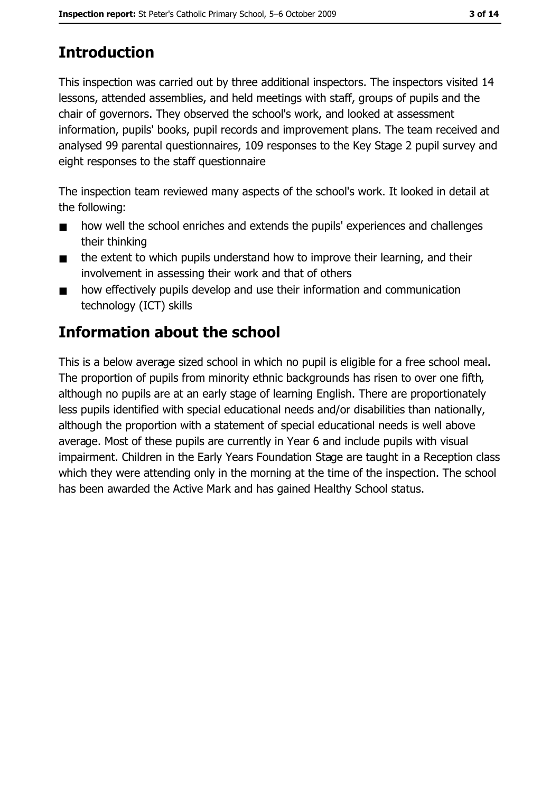# **Introduction**

This inspection was carried out by three additional inspectors. The inspectors visited 14 lessons, attended assemblies, and held meetings with staff, groups of pupils and the chair of governors. They observed the school's work, and looked at assessment information, pupils' books, pupil records and improvement plans. The team received and analysed 99 parental questionnaires, 109 responses to the Key Stage 2 pupil survey and eight responses to the staff questionnaire

The inspection team reviewed many aspects of the school's work. It looked in detail at the following:

- how well the school enriches and extends the pupils' experiences and challenges  $\blacksquare$ their thinking
- the extent to which pupils understand how to improve their learning, and their  $\blacksquare$ involvement in assessing their work and that of others
- how effectively pupils develop and use their information and communication  $\blacksquare$ technology (ICT) skills

# **Information about the school**

This is a below average sized school in which no pupil is eligible for a free school meal. The proportion of pupils from minority ethnic backgrounds has risen to over one fifth, although no pupils are at an early stage of learning English. There are proportionately less pupils identified with special educational needs and/or disabilities than nationally, although the proportion with a statement of special educational needs is well above average. Most of these pupils are currently in Year 6 and include pupils with visual impairment. Children in the Early Years Foundation Stage are taught in a Reception class which they were attending only in the morning at the time of the inspection. The school has been awarded the Active Mark and has gained Healthy School status.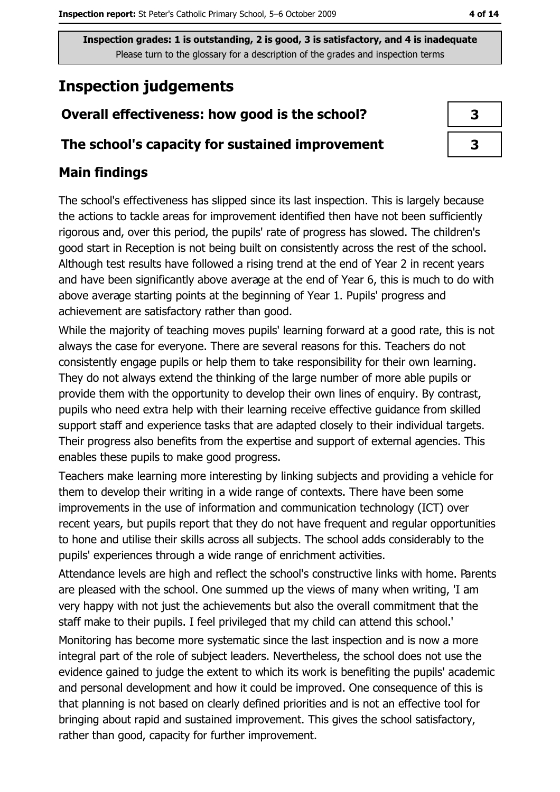# **Inspection judgements**

# Overall effectiveness: how good is the school?

## The school's capacity for sustained improvement

## **Main findings**

The school's effectiveness has slipped since its last inspection. This is largely because the actions to tackle areas for improvement identified then have not been sufficiently rigorous and, over this period, the pupils' rate of progress has slowed. The children's good start in Reception is not being built on consistently across the rest of the school. Although test results have followed a rising trend at the end of Year 2 in recent years and have been significantly above average at the end of Year 6, this is much to do with above average starting points at the beginning of Year 1. Pupils' progress and achievement are satisfactory rather than good.

While the majority of teaching moves pupils' learning forward at a good rate, this is not always the case for everyone. There are several reasons for this. Teachers do not consistently engage pupils or help them to take responsibility for their own learning. They do not always extend the thinking of the large number of more able pupils or provide them with the opportunity to develop their own lines of enquiry. By contrast, pupils who need extra help with their learning receive effective guidance from skilled support staff and experience tasks that are adapted closely to their individual targets. Their progress also benefits from the expertise and support of external agencies. This enables these pupils to make good progress.

Teachers make learning more interesting by linking subjects and providing a vehicle for them to develop their writing in a wide range of contexts. There have been some improvements in the use of information and communication technology (ICT) over recent years, but pupils report that they do not have frequent and regular opportunities to hone and utilise their skills across all subjects. The school adds considerably to the pupils' experiences through a wide range of enrichment activities.

Attendance levels are high and reflect the school's constructive links with home. Parents are pleased with the school. One summed up the views of many when writing, 'I am very happy with not just the achievements but also the overall commitment that the staff make to their pupils. I feel privileged that my child can attend this school.

Monitoring has become more systematic since the last inspection and is now a more integral part of the role of subject leaders. Nevertheless, the school does not use the evidence gained to judge the extent to which its work is benefiting the pupils' academic and personal development and how it could be improved. One consequence of this is that planning is not based on clearly defined priorities and is not an effective tool for bringing about rapid and sustained improvement. This gives the school satisfactory, rather than good, capacity for further improvement.

| З |  |
|---|--|
| З |  |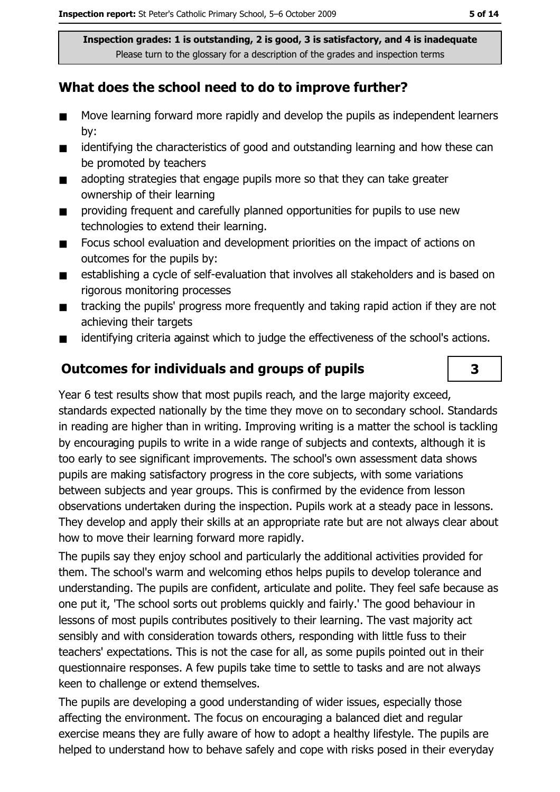## What does the school need to do to improve further?

- Move learning forward more rapidly and develop the pupils as independent learners  $\blacksquare$ by:
- identifying the characteristics of good and outstanding learning and how these can  $\blacksquare$ be promoted by teachers
- adopting strategies that engage pupils more so that they can take greater  $\blacksquare$ ownership of their learning
- providing frequent and carefully planned opportunities for pupils to use new  $\blacksquare$ technologies to extend their learning.
- Focus school evaluation and development priorities on the impact of actions on  $\blacksquare$ outcomes for the pupils by:
- establishing a cycle of self-evaluation that involves all stakeholders and is based on  $\blacksquare$ rigorous monitoring processes
- tracking the pupils' progress more frequently and taking rapid action if they are not  $\blacksquare$ achieving their targets
- identifying criteria against which to judge the effectiveness of the school's actions.  $\blacksquare$

## **Outcomes for individuals and groups of pupils**

Year 6 test results show that most pupils reach, and the large majority exceed, standards expected nationally by the time they move on to secondary school. Standards in reading are higher than in writing. Improving writing is a matter the school is tackling by encouraging pupils to write in a wide range of subjects and contexts, although it is too early to see significant improvements. The school's own assessment data shows pupils are making satisfactory progress in the core subjects, with some variations between subjects and year groups. This is confirmed by the evidence from lesson observations undertaken during the inspection. Pupils work at a steady pace in lessons. They develop and apply their skills at an appropriate rate but are not always clear about how to move their learning forward more rapidly.

The pupils say they enjoy school and particularly the additional activities provided for them. The school's warm and welcoming ethos helps pupils to develop tolerance and understanding. The pupils are confident, articulate and polite. They feel safe because as one put it. The school sorts out problems quickly and fairly.' The good behaviour in lessons of most pupils contributes positively to their learning. The vast majority act sensibly and with consideration towards others, responding with little fuss to their teachers' expectations. This is not the case for all, as some pupils pointed out in their questionnaire responses. A few pupils take time to settle to tasks and are not always keen to challenge or extend themselves.

The pupils are developing a good understanding of wider issues, especially those affecting the environment. The focus on encouraging a balanced diet and regular exercise means they are fully aware of how to adopt a healthy lifestyle. The pupils are helped to understand how to behave safely and cope with risks posed in their everyday

 $\overline{\mathbf{3}}$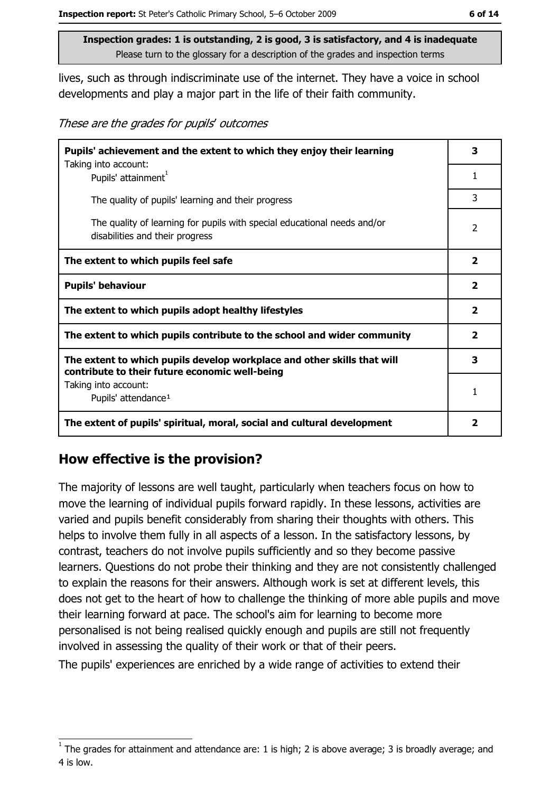lives, such as through indiscriminate use of the internet. They have a voice in school developments and play a major part in the life of their faith community.

These are the grades for pupils' outcomes

| Pupils' achievement and the extent to which they enjoy their learning                                                     |                         |
|---------------------------------------------------------------------------------------------------------------------------|-------------------------|
| Taking into account:<br>Pupils' attainment <sup>1</sup>                                                                   | 1                       |
| The quality of pupils' learning and their progress                                                                        | 3                       |
| The quality of learning for pupils with special educational needs and/or<br>disabilities and their progress               | 2                       |
| The extent to which pupils feel safe                                                                                      | $\mathbf{2}$            |
| <b>Pupils' behaviour</b>                                                                                                  | $\mathbf{2}$            |
| The extent to which pupils adopt healthy lifestyles                                                                       | $\mathbf{2}$            |
| The extent to which pupils contribute to the school and wider community                                                   | $\overline{\mathbf{2}}$ |
| The extent to which pupils develop workplace and other skills that will<br>contribute to their future economic well-being | 3                       |
| Taking into account:<br>Pupils' attendance <sup>1</sup>                                                                   | 1                       |
| The extent of pupils' spiritual, moral, social and cultural development                                                   | 2                       |

#### How effective is the provision?

The majority of lessons are well taught, particularly when teachers focus on how to move the learning of individual pupils forward rapidly. In these lessons, activities are varied and pupils benefit considerably from sharing their thoughts with others. This helps to involve them fully in all aspects of a lesson. In the satisfactory lessons, by contrast, teachers do not involve pupils sufficiently and so they become passive learners. Questions do not probe their thinking and they are not consistently challenged to explain the reasons for their answers. Although work is set at different levels, this does not get to the heart of how to challenge the thinking of more able pupils and move their learning forward at pace. The school's aim for learning to become more personalised is not being realised quickly enough and pupils are still not frequently involved in assessing the quality of their work or that of their peers.

The pupils' experiences are enriched by a wide range of activities to extend their

The grades for attainment and attendance are: 1 is high; 2 is above average; 3 is broadly average; and 4 is low.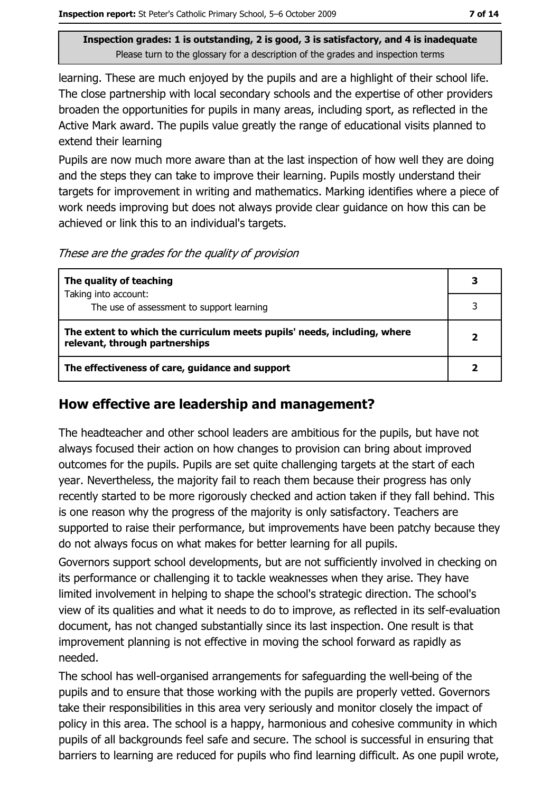learning. These are much enjoyed by the pupils and are a highlight of their school life. The close partnership with local secondary schools and the expertise of other providers broaden the opportunities for pupils in many areas, including sport, as reflected in the Active Mark award. The pupils value greatly the range of educational visits planned to extend their learning

Pupils are now much more aware than at the last inspection of how well they are doing and the steps they can take to improve their learning. Pupils mostly understand their targets for improvement in writing and mathematics. Marking identifies where a piece of work needs improving but does not always provide clear guidance on how this can be achieved or link this to an individual's targets.

These are the grades for the quality of provision

| The quality of teaching                                                                                    | 3 |
|------------------------------------------------------------------------------------------------------------|---|
| Taking into account:                                                                                       |   |
| The use of assessment to support learning                                                                  |   |
| The extent to which the curriculum meets pupils' needs, including, where<br>relevant, through partnerships | 2 |
| The effectiveness of care, guidance and support                                                            |   |

## How effective are leadership and management?

The headteacher and other school leaders are ambitious for the pupils, but have not always focused their action on how changes to provision can bring about improved outcomes for the pupils. Pupils are set quite challenging targets at the start of each year. Nevertheless, the majority fail to reach them because their progress has only recently started to be more rigorously checked and action taken if they fall behind. This is one reason why the progress of the majority is only satisfactory. Teachers are supported to raise their performance, but improvements have been patchy because they do not always focus on what makes for better learning for all pupils.

Governors support school developments, but are not sufficiently involved in checking on its performance or challenging it to tackle weaknesses when they arise. They have limited involvement in helping to shape the school's strategic direction. The school's view of its qualities and what it needs to do to improve, as reflected in its self-evaluation document, has not changed substantially since its last inspection. One result is that improvement planning is not effective in moving the school forward as rapidly as needed.

The school has well-organised arrangements for safeguarding the well-being of the pupils and to ensure that those working with the pupils are properly vetted. Governors take their responsibilities in this area very seriously and monitor closely the impact of policy in this area. The school is a happy, harmonious and cohesive community in which pupils of all backgrounds feel safe and secure. The school is successful in ensuring that barriers to learning are reduced for pupils who find learning difficult. As one pupil wrote,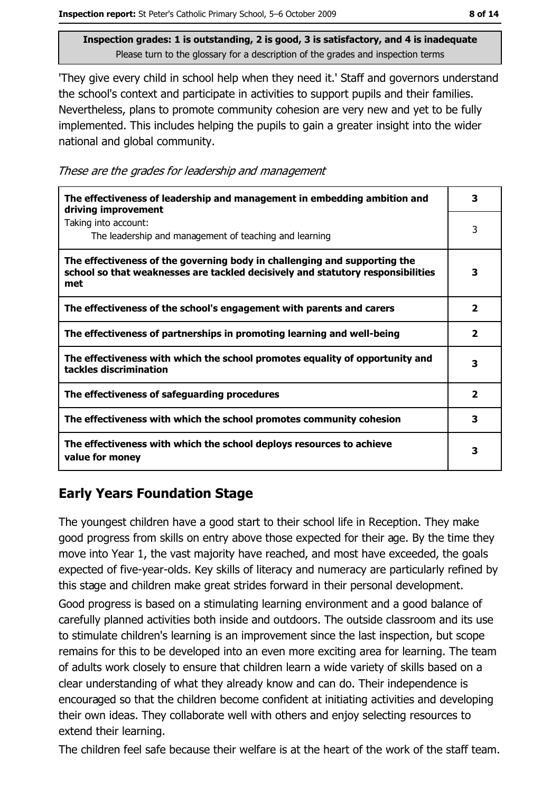'They give every child in school help when they need it.' Staff and governors understand the school's context and participate in activities to support pupils and their families. Nevertheless, plans to promote community cohesion are very new and yet to be fully implemented. This includes helping the pupils to gain a greater insight into the wider national and global community.

These are the grades for leadership and management

| The effectiveness of leadership and management in embedding ambition and<br>driving improvement                                                                     | з                       |
|---------------------------------------------------------------------------------------------------------------------------------------------------------------------|-------------------------|
| Taking into account:<br>The leadership and management of teaching and learning                                                                                      | 3                       |
| The effectiveness of the governing body in challenging and supporting the<br>school so that weaknesses are tackled decisively and statutory responsibilities<br>met | 3                       |
| The effectiveness of the school's engagement with parents and carers                                                                                                | $\overline{\mathbf{2}}$ |
| The effectiveness of partnerships in promoting learning and well-being                                                                                              | 2                       |
| The effectiveness with which the school promotes equality of opportunity and<br>tackles discrimination                                                              | 3                       |
| The effectiveness of safeguarding procedures                                                                                                                        | $\overline{\mathbf{2}}$ |
| The effectiveness with which the school promotes community cohesion                                                                                                 | 3                       |
| The effectiveness with which the school deploys resources to achieve<br>value for money                                                                             | 3                       |

# **Early Years Foundation Stage**

The youngest children have a good start to their school life in Reception. They make good progress from skills on entry above those expected for their age. By the time they move into Year 1, the vast majority have reached, and most have exceeded, the goals expected of five-year-olds. Key skills of literacy and numeracy are particularly refined by this stage and children make great strides forward in their personal development.

Good progress is based on a stimulating learning environment and a good balance of carefully planned activities both inside and outdoors. The outside classroom and its use to stimulate children's learning is an improvement since the last inspection, but scope remains for this to be developed into an even more exciting area for learning. The team of adults work closely to ensure that children learn a wide variety of skills based on a clear understanding of what they already know and can do. Their independence is encouraged so that the children become confident at initiating activities and developing their own ideas. They collaborate well with others and enjoy selecting resources to extend their learning.

The children feel safe because their welfare is at the heart of the work of the staff team.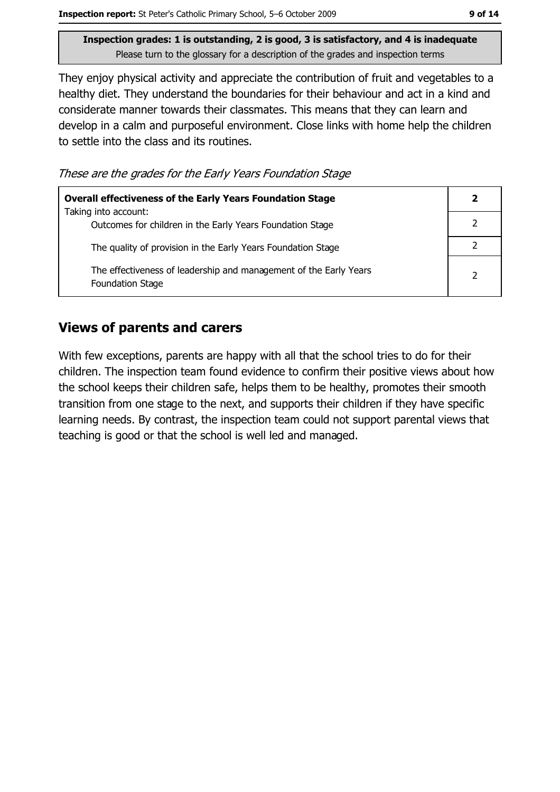They enjoy physical activity and appreciate the contribution of fruit and vegetables to a healthy diet. They understand the boundaries for their behaviour and act in a kind and considerate manner towards their classmates. This means that they can learn and develop in a calm and purposeful environment. Close links with home help the children to settle into the class and its routines.

These are the grades for the Early Years Foundation Stage

| <b>Overall effectiveness of the Early Years Foundation Stage</b>                             | $\mathbf{2}$ |
|----------------------------------------------------------------------------------------------|--------------|
| Taking into account:<br>Outcomes for children in the Early Years Foundation Stage            |              |
| The quality of provision in the Early Years Foundation Stage                                 |              |
| The effectiveness of leadership and management of the Early Years<br><b>Foundation Stage</b> | 2            |

#### **Views of parents and carers**

With few exceptions, parents are happy with all that the school tries to do for their children. The inspection team found evidence to confirm their positive views about how the school keeps their children safe, helps them to be healthy, promotes their smooth transition from one stage to the next, and supports their children if they have specific learning needs. By contrast, the inspection team could not support parental views that teaching is good or that the school is well led and managed.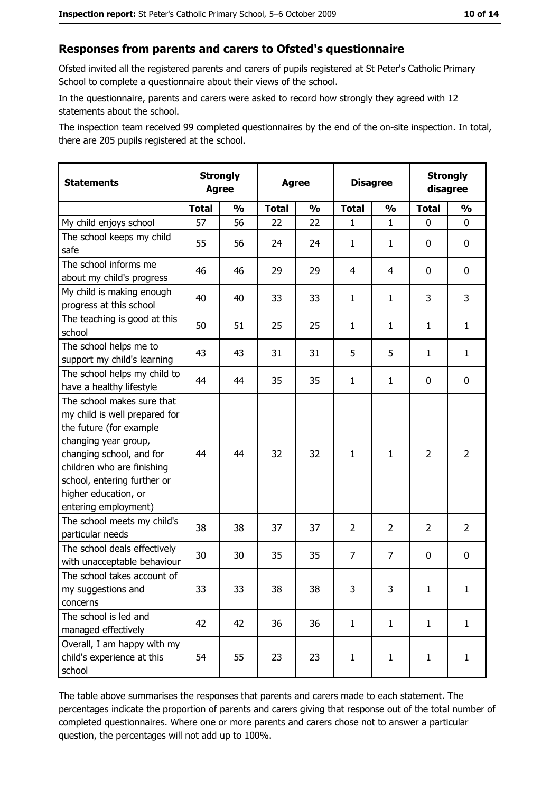#### Responses from parents and carers to Ofsted's questionnaire

Ofsted invited all the registered parents and carers of pupils registered at St Peter's Catholic Primary School to complete a questionnaire about their views of the school.

In the questionnaire, parents and carers were asked to record how strongly they agreed with 12 statements about the school.

The inspection team received 99 completed questionnaires by the end of the on-site inspection. In total, there are 205 pupils registered at the school.

| <b>Statements</b>                                                                                                                                                                                                                                       | <b>Strongly</b><br><b>Agree</b> |               | <b>Agree</b> |               | <b>Disagree</b> |                | <b>Strongly</b><br>disagree |                |
|---------------------------------------------------------------------------------------------------------------------------------------------------------------------------------------------------------------------------------------------------------|---------------------------------|---------------|--------------|---------------|-----------------|----------------|-----------------------------|----------------|
|                                                                                                                                                                                                                                                         | <b>Total</b>                    | $\frac{1}{2}$ | <b>Total</b> | $\frac{0}{0}$ | <b>Total</b>    | $\frac{1}{2}$  | <b>Total</b>                | $\frac{1}{2}$  |
| My child enjoys school                                                                                                                                                                                                                                  | 57                              | 56            | 22           | 22            | 1               | $\mathbf{1}$   | 0                           | 0              |
| The school keeps my child<br>safe                                                                                                                                                                                                                       | 55                              | 56            | 24           | 24            | 1               | 1              | 0                           | $\mathbf 0$    |
| The school informs me<br>about my child's progress                                                                                                                                                                                                      | 46                              | 46            | 29           | 29            | 4               | 4              | 0                           | 0              |
| My child is making enough<br>progress at this school                                                                                                                                                                                                    | 40                              | 40            | 33           | 33            | $\mathbf{1}$    | $\mathbf{1}$   | 3                           | 3              |
| The teaching is good at this<br>school                                                                                                                                                                                                                  | 50                              | 51            | 25           | 25            | $\mathbf{1}$    | $\mathbf{1}$   | 1                           | $\mathbf{1}$   |
| The school helps me to<br>support my child's learning                                                                                                                                                                                                   | 43                              | 43            | 31           | 31            | 5               | 5              | 1                           | $\mathbf{1}$   |
| The school helps my child to<br>have a healthy lifestyle                                                                                                                                                                                                | 44                              | 44            | 35           | 35            | $\mathbf{1}$    | $\mathbf{1}$   | 0                           | $\mathbf 0$    |
| The school makes sure that<br>my child is well prepared for<br>the future (for example<br>changing year group,<br>changing school, and for<br>children who are finishing<br>school, entering further or<br>higher education, or<br>entering employment) | 44                              | 44            | 32           | 32            | $\mathbf{1}$    | $\mathbf{1}$   | $\overline{2}$              | $\overline{2}$ |
| The school meets my child's<br>particular needs                                                                                                                                                                                                         | 38                              | 38            | 37           | 37            | $\overline{2}$  | $\overline{2}$ | $\overline{2}$              | $\overline{2}$ |
| The school deals effectively<br>with unacceptable behaviour                                                                                                                                                                                             | 30                              | 30            | 35           | 35            | $\overline{7}$  | $\overline{7}$ | 0                           | $\mathbf 0$    |
| The school takes account of<br>my suggestions and<br>concerns                                                                                                                                                                                           | 33                              | 33            | 38           | 38            | 3               | 3              | $\mathbf{1}$                | $\mathbf{1}$   |
| The school is led and<br>managed effectively                                                                                                                                                                                                            | 42                              | 42            | 36           | 36            | $\mathbf{1}$    | $\mathbf{1}$   | $\mathbf{1}$                | $\mathbf{1}$   |
| Overall, I am happy with my<br>child's experience at this<br>school                                                                                                                                                                                     | 54                              | 55            | 23           | 23            | $\mathbf{1}$    | $\mathbf{1}$   | $\mathbf{1}$                | $\mathbf{1}$   |

The table above summarises the responses that parents and carers made to each statement. The percentages indicate the proportion of parents and carers giving that response out of the total number of completed questionnaires. Where one or more parents and carers chose not to answer a particular question, the percentages will not add up to 100%.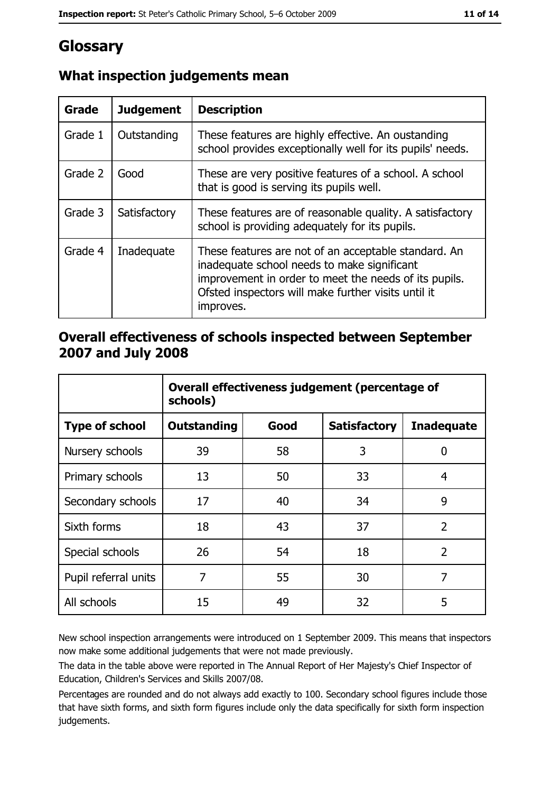# Glossary

| Grade   | <b>Judgement</b> | <b>Description</b>                                                                                                                                                                                                               |
|---------|------------------|----------------------------------------------------------------------------------------------------------------------------------------------------------------------------------------------------------------------------------|
| Grade 1 | Outstanding      | These features are highly effective. An oustanding<br>school provides exceptionally well for its pupils' needs.                                                                                                                  |
| Grade 2 | Good             | These are very positive features of a school. A school<br>that is good is serving its pupils well.                                                                                                                               |
| Grade 3 | Satisfactory     | These features are of reasonable quality. A satisfactory<br>school is providing adequately for its pupils.                                                                                                                       |
| Grade 4 | Inadequate       | These features are not of an acceptable standard. An<br>inadequate school needs to make significant<br>improvement in order to meet the needs of its pupils.<br>Ofsted inspectors will make further visits until it<br>improves. |

# What inspection judgements mean

## Overall effectiveness of schools inspected between September 2007 and July 2008

|                       | Overall effectiveness judgement (percentage of<br>schools) |      |                     |                   |
|-----------------------|------------------------------------------------------------|------|---------------------|-------------------|
| <b>Type of school</b> | <b>Outstanding</b>                                         | Good | <b>Satisfactory</b> | <b>Inadequate</b> |
| Nursery schools       | 39                                                         | 58   | 3                   | 0                 |
| Primary schools       | 13                                                         | 50   | 33                  | 4                 |
| Secondary schools     | 17                                                         | 40   | 34                  | 9                 |
| Sixth forms           | 18                                                         | 43   | 37                  | $\overline{2}$    |
| Special schools       | 26                                                         | 54   | 18                  | $\overline{2}$    |
| Pupil referral units  | 7                                                          | 55   | 30                  | 7                 |
| All schools           | 15                                                         | 49   | 32                  | 5                 |

New school inspection arrangements were introduced on 1 September 2009. This means that inspectors now make some additional judgements that were not made previously.

The data in the table above were reported in The Annual Report of Her Majesty's Chief Inspector of Education, Children's Services and Skills 2007/08.

Percentages are rounded and do not always add exactly to 100. Secondary school figures include those that have sixth forms, and sixth form figures include only the data specifically for sixth form inspection judgements.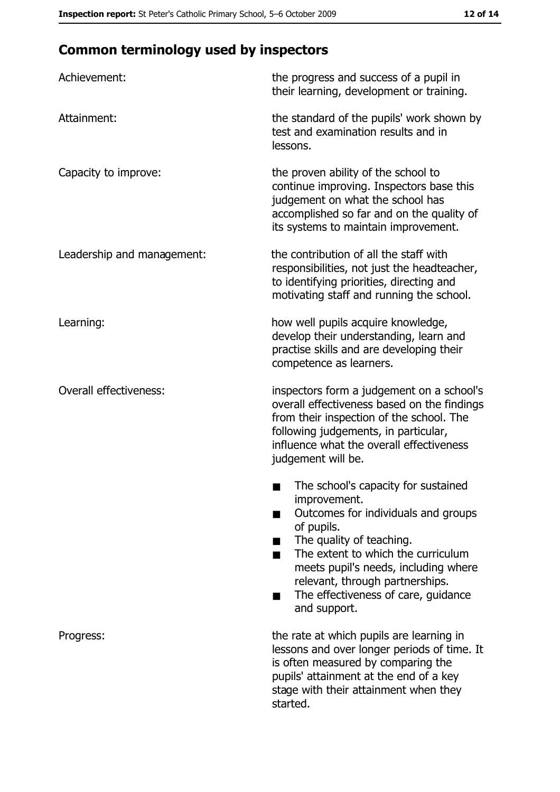# **Common terminology used by inspectors**

| Achievement:                  | the progress and success of a pupil in<br>their learning, development or training.                                                                                                                                                                                                                           |
|-------------------------------|--------------------------------------------------------------------------------------------------------------------------------------------------------------------------------------------------------------------------------------------------------------------------------------------------------------|
| Attainment:                   | the standard of the pupils' work shown by<br>test and examination results and in<br>lessons.                                                                                                                                                                                                                 |
| Capacity to improve:          | the proven ability of the school to<br>continue improving. Inspectors base this<br>judgement on what the school has<br>accomplished so far and on the quality of<br>its systems to maintain improvement.                                                                                                     |
| Leadership and management:    | the contribution of all the staff with<br>responsibilities, not just the headteacher,<br>to identifying priorities, directing and<br>motivating staff and running the school.                                                                                                                                |
| Learning:                     | how well pupils acquire knowledge,<br>develop their understanding, learn and<br>practise skills and are developing their<br>competence as learners.                                                                                                                                                          |
| <b>Overall effectiveness:</b> | inspectors form a judgement on a school's<br>overall effectiveness based on the findings<br>from their inspection of the school. The<br>following judgements, in particular,<br>influence what the overall effectiveness<br>judgement will be.                                                               |
|                               | The school's capacity for sustained<br>improvement.<br>Outcomes for individuals and groups<br>of pupils.<br>The quality of teaching.<br>The extent to which the curriculum<br>meets pupil's needs, including where<br>relevant, through partnerships.<br>The effectiveness of care, guidance<br>and support. |
| Progress:                     | the rate at which pupils are learning in<br>lessons and over longer periods of time. It<br>is often measured by comparing the<br>pupils' attainment at the end of a key<br>stage with their attainment when they<br>started.                                                                                 |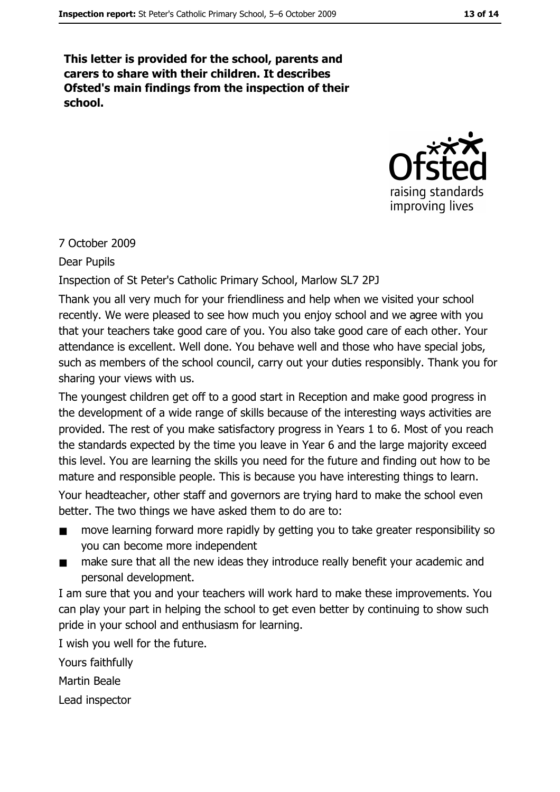This letter is provided for the school, parents and carers to share with their children. It describes Ofsted's main findings from the inspection of their school.



#### 7 October 2009

**Dear Pupils** 

Inspection of St Peter's Catholic Primary School, Marlow SL7 2PJ

Thank you all very much for your friendliness and help when we visited your school recently. We were pleased to see how much you enjoy school and we agree with you that your teachers take good care of you. You also take good care of each other. Your attendance is excellent. Well done. You behave well and those who have special jobs, such as members of the school council, carry out your duties responsibly. Thank you for sharing your views with us.

The youngest children get off to a good start in Reception and make good progress in the development of a wide range of skills because of the interesting ways activities are provided. The rest of you make satisfactory progress in Years 1 to 6. Most of you reach the standards expected by the time you leave in Year 6 and the large majority exceed this level. You are learning the skills you need for the future and finding out how to be mature and responsible people. This is because you have interesting things to learn.

Your headteacher, other staff and governors are trying hard to make the school even better. The two things we have asked them to do are to:

- move learning forward more rapidly by getting you to take greater responsibility so  $\blacksquare$ you can become more independent
- make sure that all the new ideas they introduce really benefit your academic and  $\blacksquare$ personal development.

I am sure that you and your teachers will work hard to make these improvements. You can play your part in helping the school to get even better by continuing to show such pride in your school and enthusiasm for learning.

I wish you well for the future.

Yours faithfully

**Martin Beale** 

Lead inspector